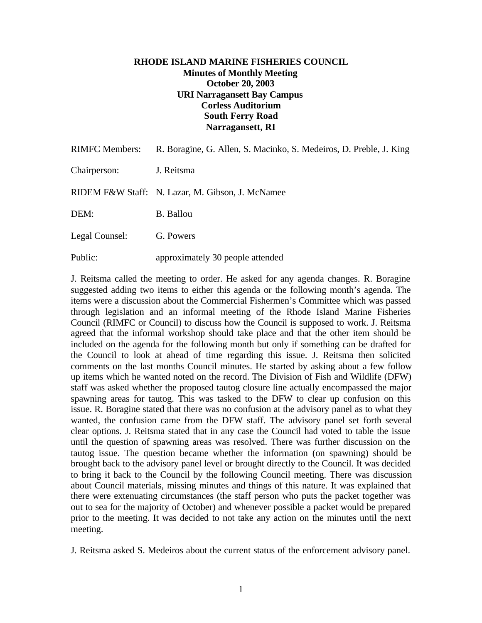### **RHODE ISLAND MARINE FISHERIES COUNCIL Minutes of Monthly Meeting October 20, 2003 URI Narragansett Bay Campus Corless Auditorium South Ferry Road Narragansett, RI**

| <b>RIMFC Members:</b> | R. Boragine, G. Allen, S. Macinko, S. Medeiros, D. Preble, J. King |
|-----------------------|--------------------------------------------------------------------|
| Chairperson:          | J. Reitsma                                                         |
|                       | RIDEM F&W Staff: N. Lazar, M. Gibson, J. McNamee                   |
| DEM:                  | <b>B.</b> Ballou                                                   |
| Legal Counsel:        | G. Powers                                                          |
| Public:               | approximately 30 people attended                                   |

J. Reitsma called the meeting to order. He asked for any agenda changes. R. Boragine suggested adding two items to either this agenda or the following month's agenda. The items were a discussion about the Commercial Fishermen's Committee which was passed through legislation and an informal meeting of the Rhode Island Marine Fisheries Council (RIMFC or Council) to discuss how the Council is supposed to work. J. Reitsma agreed that the informal workshop should take place and that the other item should be included on the agenda for the following month but only if something can be drafted for the Council to look at ahead of time regarding this issue. J. Reitsma then solicited comments on the last months Council minutes. He started by asking about a few follow up items which he wanted noted on the record. The Division of Fish and Wildlife (DFW) staff was asked whether the proposed tautog closure line actually encompassed the major spawning areas for tautog. This was tasked to the DFW to clear up confusion on this issue. R. Boragine stated that there was no confusion at the advisory panel as to what they wanted, the confusion came from the DFW staff. The advisory panel set forth several clear options. J. Reitsma stated that in any case the Council had voted to table the issue until the question of spawning areas was resolved. There was further discussion on the tautog issue. The question became whether the information (on spawning) should be brought back to the advisory panel level or brought directly to the Council. It was decided to bring it back to the Council by the following Council meeting. There was discussion about Council materials, missing minutes and things of this nature. It was explained that there were extenuating circumstances (the staff person who puts the packet together was out to sea for the majority of October) and whenever possible a packet would be prepared prior to the meeting. It was decided to not take any action on the minutes until the next meeting.

J. Reitsma asked S. Medeiros about the current status of the enforcement advisory panel.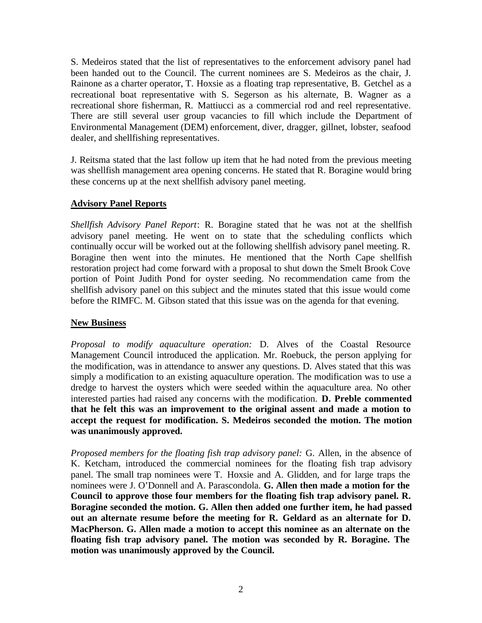S. Medeiros stated that the list of representatives to the enforcement advisory panel had been handed out to the Council. The current nominees are S. Medeiros as the chair, J. Rainone as a charter operator, T. Hoxsie as a floating trap representative, B. Getchel as a recreational boat representative with S. Segerson as his alternate, B. Wagner as a recreational shore fisherman, R. Mattiucci as a commercial rod and reel representative. There are still several user group vacancies to fill which include the Department of Environmental Management (DEM) enforcement, diver, dragger, gillnet, lobster, seafood dealer, and shellfishing representatives.

J. Reitsma stated that the last follow up item that he had noted from the previous meeting was shellfish management area opening concerns. He stated that R. Boragine would bring these concerns up at the next shellfish advisory panel meeting.

# **Advisory Panel Reports**

*Shellfish Advisory Panel Report*: R. Boragine stated that he was not at the shellfish advisory panel meeting. He went on to state that the scheduling conflicts which continually occur will be worked out at the following shellfish advisory panel meeting. R. Boragine then went into the minutes. He mentioned that the North Cape shellfish restoration project had come forward with a proposal to shut down the Smelt Brook Cove portion of Point Judith Pond for oyster seeding. No recommendation came from the shellfish advisory panel on this subject and the minutes stated that this issue would come before the RIMFC. M. Gibson stated that this issue was on the agenda for that evening.

#### **New Business**

*Proposal to modify aquaculture operation:* D. Alves of the Coastal Resource Management Council introduced the application. Mr. Roebuck, the person applying for the modification, was in attendance to answer any questions. D. Alves stated that this was simply a modification to an existing aquaculture operation. The modification was to use a dredge to harvest the oysters which were seeded within the aquaculture area. No other interested parties had raised any concerns with the modification. **D. Preble commented that he felt this was an improvement to the original assent and made a motion to accept the request for modification. S. Medeiros seconded the motion. The motion was unanimously approved.**

*Proposed members for the floating fish trap advisory panel:* G. Allen, in the absence of K. Ketcham, introduced the commercial nominees for the floating fish trap advisory panel. The small trap nominees were T. Hoxsie and A. Glidden, and for large traps the nominees were J. O'Donnell and A. Parascondola. **G. Allen then made a motion for the Council to approve those four members for the floating fish trap advisory panel. R. Boragine seconded the motion. G. Allen then added one further item, he had passed out an alternate resume before the meeting for R. Geldard as an alternate for D. MacPherson. G. Allen made a motion to accept this nominee as an alternate on the floating fish trap advisory panel. The motion was seconded by R. Boragine. The motion was unanimously approved by the Council.**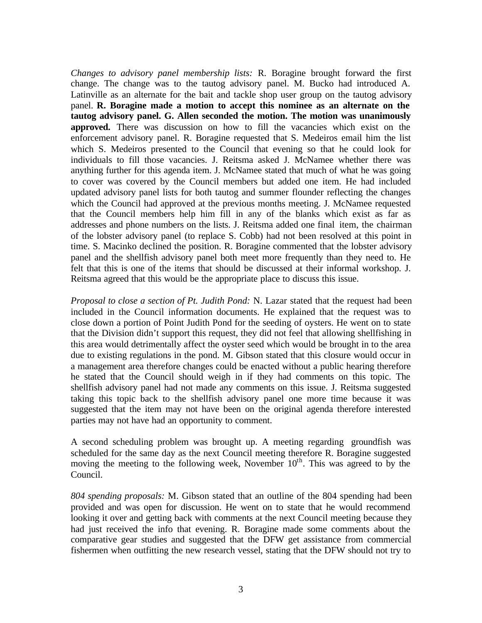*Changes to advisory panel membership lists:* R. Boragine brought forward the first change. The change was to the tautog advisory panel. M. Bucko had introduced A. Latinville as an alternate for the bait and tackle shop user group on the tautog advisory panel. **R. Boragine made a motion to accept this nominee as an alternate on the tautog advisory panel. G. Allen seconded the motion. The motion was unanimously approved.** There was discussion on how to fill the vacancies which exist on the enforcement advisory panel. R. Boragine requested that S. Medeiros email him the list which S. Medeiros presented to the Council that evening so that he could look for individuals to fill those vacancies. J. Reitsma asked J. McNamee whether there was anything further for this agenda item. J. McNamee stated that much of what he was going to cover was covered by the Council members but added one item. He had included updated advisory panel lists for both tautog and summer flounder reflecting the changes which the Council had approved at the previous months meeting. J. McNamee requested that the Council members help him fill in any of the blanks which exist as far as addresses and phone numbers on the lists. J. Reitsma added one final item, the chairman of the lobster advisory panel (to replace S. Cobb) had not been resolved at this point in time. S. Macinko declined the position. R. Boragine commented that the lobster advisory panel and the shellfish advisory panel both meet more frequently than they need to. He felt that this is one of the items that should be discussed at their informal workshop. J. Reitsma agreed that this would be the appropriate place to discuss this issue.

*Proposal to close a section of Pt. Judith Pond:* N. Lazar stated that the request had been included in the Council information documents. He explained that the request was to close down a portion of Point Judith Pond for the seeding of oysters. He went on to state that the Division didn't support this request, they did not feel that allowing shellfishing in this area would detrimentally affect the oyster seed which would be brought in to the area due to existing regulations in the pond. M. Gibson stated that this closure would occur in a management area therefore changes could be enacted without a public hearing therefore he stated that the Council should weigh in if they had comments on this topic. The shellfish advisory panel had not made any comments on this issue. J. Reitsma suggested taking this topic back to the shellfish advisory panel one more time because it was suggested that the item may not have been on the original agenda therefore interested parties may not have had an opportunity to comment.

A second scheduling problem was brought up. A meeting regarding groundfish was scheduled for the same day as the next Council meeting therefore R. Boragine suggested moving the meeting to the following week, November  $10<sup>th</sup>$ . This was agreed to by the Council.

*804 spending proposals:* M. Gibson stated that an outline of the 804 spending had been provided and was open for discussion. He went on to state that he would recommend looking it over and getting back with comments at the next Council meeting because they had just received the info that evening. R. Boragine made some comments about the comparative gear studies and suggested that the DFW get assistance from commercial fishermen when outfitting the new research vessel, stating that the DFW should not try to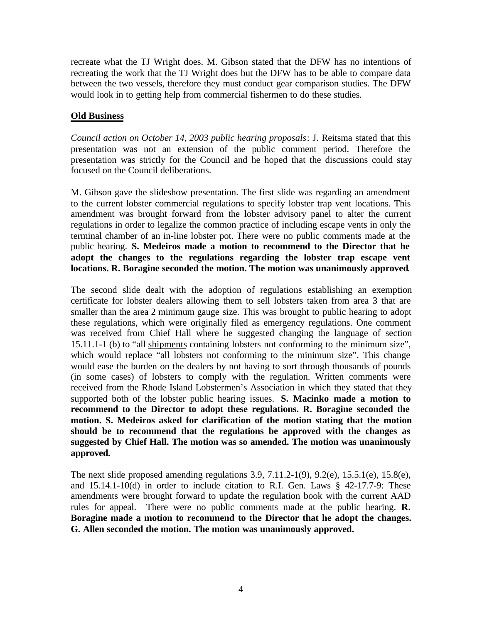recreate what the TJ Wright does. M. Gibson stated that the DFW has no intentions of recreating the work that the TJ Wright does but the DFW has to be able to compare data between the two vessels, therefore they must conduct gear comparison studies. The DFW would look in to getting help from commercial fishermen to do these studies.

## **Old Business**

*Council action on October 14, 2003 public hearing proposals*: J. Reitsma stated that this presentation was not an extension of the public comment period. Therefore the presentation was strictly for the Council and he hoped that the discussions could stay focused on the Council deliberations.

M. Gibson gave the slideshow presentation. The first slide was regarding an amendment to the current lobster commercial regulations to specify lobster trap vent locations. This amendment was brought forward from the lobster advisory panel to alter the current regulations in order to legalize the common practice of including escape vents in only the terminal chamber of an in-line lobster pot. There were no public comments made at the public hearing. **S. Medeiros made a motion to recommend to the Director that he adopt the changes to the regulations regarding the lobster trap escape vent locations. R. Boragine seconded the motion. The motion was unanimously approved**.

The second slide dealt with the adoption of regulations establishing an exemption certificate for lobster dealers allowing them to sell lobsters taken from area 3 that are smaller than the area 2 minimum gauge size. This was brought to public hearing to adopt these regulations, which were originally filed as emergency regulations. One comment was received from Chief Hall where he suggested changing the language of section 15.11.1-1 (b) to "all shipments containing lobsters not conforming to the minimum size", which would replace "all lobsters not conforming to the minimum size". This change would ease the burden on the dealers by not having to sort through thousands of pounds (in some cases) of lobsters to comply with the regulation. Written comments were received from the Rhode Island Lobstermen's Association in which they stated that they supported both of the lobster public hearing issues. **S. Macinko made a motion to recommend to the Director to adopt these regulations. R. Boragine seconded the motion. S. Medeiros asked for clarification of the motion stating that the motion should be to recommend that the regulations be approved with the changes as suggested by Chief Hall. The motion was so amended. The motion was unanimously approved.**

The next slide proposed amending regulations 3.9,  $7.11.2\n-1(9)$ ,  $9.2(e)$ ,  $15.5.1(e)$ ,  $15.8(e)$ , and  $15.14.1-10(d)$  in order to include citation to R.I. Gen. Laws § 42-17.7-9: These amendments were brought forward to update the regulation book with the current AAD rules for appeal. There were no public comments made at the public hearing. **R. Boragine made a motion to recommend to the Director that he adopt the changes. G. Allen seconded the motion. The motion was unanimously approved.**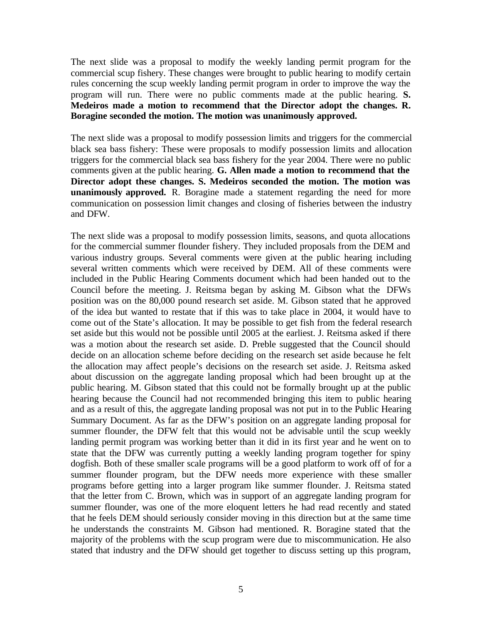The next slide was a proposal to modify the weekly landing permit program for the commercial scup fishery. These changes were brought to public hearing to modify certain rules concerning the scup weekly landing permit program in order to improve the way the program will run. There were no public comments made at the public hearing. **S. Medeiros made a motion to recommend that the Director adopt the changes. R. Boragine seconded the motion. The motion was unanimously approved.**

The next slide was a proposal to modify possession limits and triggers for the commercial black sea bass fishery: These were proposals to modify possession limits and allocation triggers for the commercial black sea bass fishery for the year 2004. There were no public comments given at the public hearing. **G. Allen made a motion to recommend that the Director adopt these changes. S. Medeiros seconded the motion. The motion was unanimously approved.** R. Boragine made a statement regarding the need for more communication on possession limit changes and closing of fisheries between the industry and DFW.

The next slide was a proposal to modify possession limits, seasons, and quota allocations for the commercial summer flounder fishery. They included proposals from the DEM and various industry groups. Several comments were given at the public hearing including several written comments which were received by DEM. All of these comments were included in the Public Hearing Comments document which had been handed out to the Council before the meeting. J. Reitsma began by asking M. Gibson what the DFWs position was on the 80,000 pound research set aside. M. Gibson stated that he approved of the idea but wanted to restate that if this was to take place in 2004, it would have to come out of the State's allocation. It may be possible to get fish from the federal research set aside but this would not be possible until 2005 at the earliest. J. Reitsma asked if there was a motion about the research set aside. D. Preble suggested that the Council should decide on an allocation scheme before deciding on the research set aside because he felt the allocation may affect people's decisions on the research set aside. J. Reitsma asked about discussion on the aggregate landing proposal which had been brought up at the public hearing. M. Gibson stated that this could not be formally brought up at the public hearing because the Council had not recommended bringing this item to public hearing and as a result of this, the aggregate landing proposal was not put in to the Public Hearing Summary Document. As far as the DFW's position on an aggregate landing proposal for summer flounder, the DFW felt that this would not be advisable until the scup weekly landing permit program was working better than it did in its first year and he went on to state that the DFW was currently putting a weekly landing program together for spiny dogfish. Both of these smaller scale programs will be a good platform to work off of for a summer flounder program, but the DFW needs more experience with these smaller programs before getting into a larger program like summer flounder. J. Reitsma stated that the letter from C. Brown, which was in support of an aggregate landing program for summer flounder, was one of the more eloquent letters he had read recently and stated that he feels DEM should seriously consider moving in this direction but at the same time he understands the constraints M. Gibson had mentioned. R. Boragine stated that the majority of the problems with the scup program were due to miscommunication. He also stated that industry and the DFW should get together to discuss setting up this program,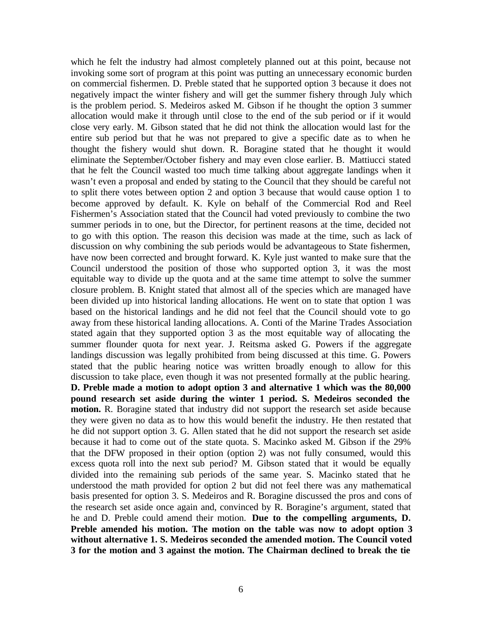which he felt the industry had almost completely planned out at this point, because not invoking some sort of program at this point was putting an unnecessary economic burden on commercial fishermen. D. Preble stated that he supported option 3 because it does not negatively impact the winter fishery and will get the summer fishery through July which is the problem period. S. Medeiros asked M. Gibson if he thought the option 3 summer allocation would make it through until close to the end of the sub period or if it would close very early. M. Gibson stated that he did not think the allocation would last for the entire sub period but that he was not prepared to give a specific date as to when he thought the fishery would shut down. R. Boragine stated that he thought it would eliminate the September/October fishery and may even close earlier. B. Mattiucci stated that he felt the Council wasted too much time talking about aggregate landings when it wasn't even a proposal and ended by stating to the Council that they should be careful not to split there votes between option 2 and option 3 because that would cause option 1 to become approved by default. K. Kyle on behalf of the Commercial Rod and Reel Fishermen's Association stated that the Council had voted previously to combine the two summer periods in to one, but the Director, for pertinent reasons at the time, decided not to go with this option. The reason this decision was made at the time, such as lack of discussion on why combining the sub periods would be advantageous to State fishermen, have now been corrected and brought forward. K. Kyle just wanted to make sure that the Council understood the position of those who supported option 3, it was the most equitable way to divide up the quota and at the same time attempt to solve the summer closure problem. B. Knight stated that almost all of the species which are managed have been divided up into historical landing allocations. He went on to state that option 1 was based on the historical landings and he did not feel that the Council should vote to go away from these historical landing allocations. A. Conti of the Marine Trades Association stated again that they supported option 3 as the most equitable way of allocating the summer flounder quota for next year. J. Reitsma asked G. Powers if the aggregate landings discussion was legally prohibited from being discussed at this time. G. Powers stated that the public hearing notice was written broadly enough to allow for this discussion to take place, even though it was not presented formally at the public hearing. **D. Preble made a motion to adopt option 3 and alternative 1 which was the 80,000 pound research set aside during the winter 1 period. S. Medeiros seconded the motion.** R. Boragine stated that industry did not support the research set aside because they were given no data as to how this would benefit the industry. He then restated that he did not support option 3. G. Allen stated that he did not support the research set aside because it had to come out of the state quota. S. Macinko asked M. Gibson if the 29% that the DFW proposed in their option (option 2) was not fully consumed, would this excess quota roll into the next sub period? M. Gibson stated that it would be equally divided into the remaining sub periods of the same year. S. Macinko stated that he understood the math provided for option 2 but did not feel there was any mathematical basis presented for option 3. S. Medeiros and R. Boragine discussed the pros and cons of the research set aside once again and, convinced by R. Boragine's argument, stated that he and D. Preble could amend their motion. **Due to the compelling arguments, D. Preble amended his motion. The motion on the table was now to adopt option 3 without alternative 1. S. Medeiros seconded the amended motion. The Council voted 3 for the motion and 3 against the motion. The Chairman declined to break the tie**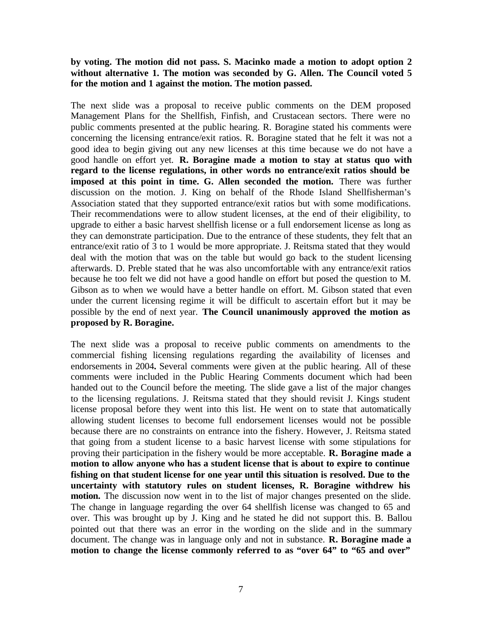#### **by voting. The motion did not pass. S. Macinko made a motion to adopt option 2 without alternative 1. The motion was seconded by G. Allen. The Council voted 5 for the motion and 1 against the motion. The motion passed.**

The next slide was a proposal to receive public comments on the DEM proposed Management Plans for the Shellfish, Finfish, and Crustacean sectors. There were no public comments presented at the public hearing. R. Boragine stated his comments were concerning the licensing entrance/exit ratios. R. Boragine stated that he felt it was not a good idea to begin giving out any new licenses at this time because we do not have a good handle on effort yet. **R. Boragine made a motion to stay at status quo with regard to the license regulations, in other words no entrance/exit ratios should be imposed at this point in time. G. Allen seconded the motion.** There was further discussion on the motion. J. King on behalf of the Rhode Island Shellfisherman's Association stated that they supported entrance/exit ratios but with some modifications. Their recommendations were to allow student licenses, at the end of their eligibility, to upgrade to either a basic harvest shellfish license or a full endorsement license as long as they can demonstrate participation. Due to the entrance of these students, they felt that an entrance/exit ratio of 3 to 1 would be more appropriate. J. Reitsma stated that they would deal with the motion that was on the table but would go back to the student licensing afterwards. D. Preble stated that he was also uncomfortable with any entrance/exit ratios because he too felt we did not have a good handle on effort but posed the question to M. Gibson as to when we would have a better handle on effort. M. Gibson stated that even under the current licensing regime it will be difficult to ascertain effort but it may be possible by the end of next year. **The Council unanimously approved the motion as proposed by R. Boragine.**

The next slide was a proposal to receive public comments on amendments to the commercial fishing licensing regulations regarding the availability of licenses and endorsements in 2004**.** Several comments were given at the public hearing. All of these comments were included in the Public Hearing Comments document which had been handed out to the Council before the meeting. The slide gave a list of the major changes to the licensing regulations. J. Reitsma stated that they should revisit J. Kings student license proposal before they went into this list. He went on to state that automatically allowing student licenses to become full endorsement licenses would not be possible because there are no constraints on entrance into the fishery. However, J. Reitsma stated that going from a student license to a basic harvest license with some stipulations for proving their participation in the fishery would be more acceptable. **R. Boragine made a motion to allow anyone who has a student license that is about to expire to continue fishing on that student license for one year until this situation is resolved. Due to the uncertainty with statutory rules on student licenses, R. Boragine withdrew his motion.** The discussion now went in to the list of major changes presented on the slide. The change in language regarding the over 64 shellfish license was changed to 65 and over. This was brought up by J. King and he stated he did not support this. B. Ballou pointed out that there was an error in the wording on the slide and in the summary document. The change was in language only and not in substance. **R. Boragine made a motion to change the license commonly referred to as "over 64" to "65 and over"**